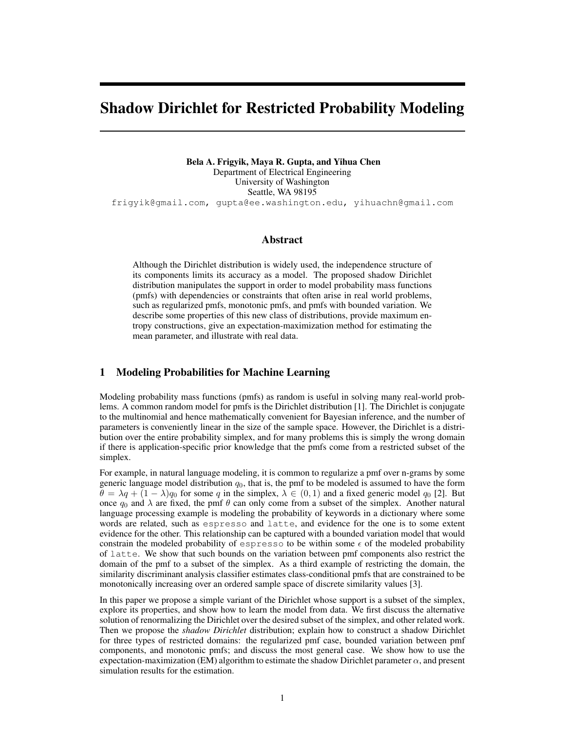# Shadow Dirichlet for Restricted Probability Modeling

Bela A. Frigyik, Maya R. Gupta, and Yihua Chen Department of Electrical Engineering University of Washington Seattle, WA 98195 frigyik@gmail.com, gupta@ee.washington.edu, yihuachn@gmail.com

## Abstract

Although the Dirichlet distribution is widely used, the independence structure of its components limits its accuracy as a model. The proposed shadow Dirichlet distribution manipulates the support in order to model probability mass functions (pmfs) with dependencies or constraints that often arise in real world problems, such as regularized pmfs, monotonic pmfs, and pmfs with bounded variation. We describe some properties of this new class of distributions, provide maximum entropy constructions, give an expectation-maximization method for estimating the mean parameter, and illustrate with real data.

# 1 Modeling Probabilities for Machine Learning

Modeling probability mass functions (pmfs) as random is useful in solving many real-world problems. A common random model for pmfs is the Dirichlet distribution [1]. The Dirichlet is conjugate to the multinomial and hence mathematically convenient for Bayesian inference, and the number of parameters is conveniently linear in the size of the sample space. However, the Dirichlet is a distribution over the entire probability simplex, and for many problems this is simply the wrong domain if there is application-specific prior knowledge that the pmfs come from a restricted subset of the simplex.

For example, in natural language modeling, it is common to regularize a pmf over n-grams by some generic language model distribution  $q_0$ , that is, the pmf to be modeled is assumed to have the form  $\theta = \lambda q + (1 - \lambda)q_0$  for some q in the simplex,  $\lambda \in (0, 1)$  and a fixed generic model  $q_0$  [2]. But once  $q_0$  and  $\lambda$  are fixed, the pmf  $\theta$  can only come from a subset of the simplex. Another natural language processing example is modeling the probability of keywords in a dictionary where some words are related, such as espresso and latte, and evidence for the one is to some extent evidence for the other. This relationship can be captured with a bounded variation model that would constrain the modeled probability of espresso to be within some  $\epsilon$  of the modeled probability of latte. We show that such bounds on the variation between pmf components also restrict the domain of the pmf to a subset of the simplex. As a third example of restricting the domain, the similarity discriminant analysis classifier estimates class-conditional pmfs that are constrained to be monotonically increasing over an ordered sample space of discrete similarity values [3].

In this paper we propose a simple variant of the Dirichlet whose support is a subset of the simplex, explore its properties, and show how to learn the model from data. We first discuss the alternative solution of renormalizing the Dirichlet over the desired subset of the simplex, and other related work. Then we propose the *shadow Dirichlet* distribution; explain how to construct a shadow Dirichlet for three types of restricted domains: the regularized pmf case, bounded variation between pmf components, and monotonic pmfs; and discuss the most general case. We show how to use the expectation-maximization (EM) algorithm to estimate the shadow Dirichlet parameter  $\alpha$ , and present simulation results for the estimation.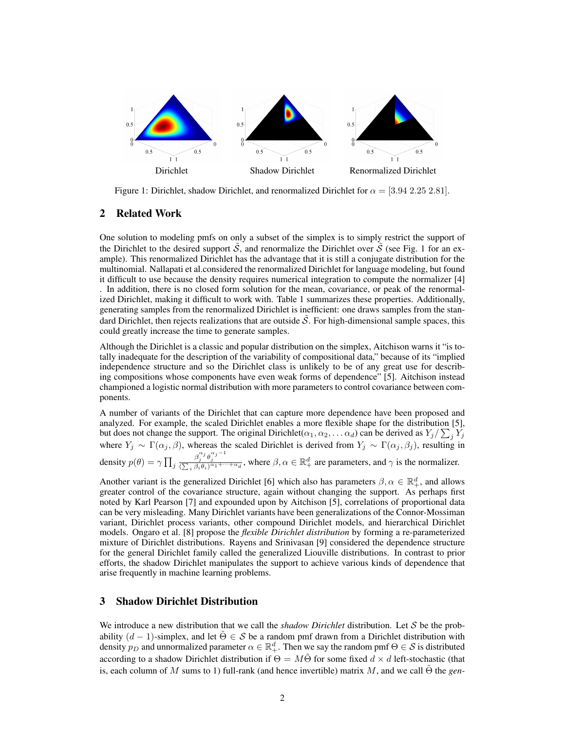

Figure 1: Dirichlet, shadow Dirichlet, and renormalized Dirichlet for  $\alpha = [3.94 \ 2.25 \ 2.81]$ .

# 2 Related Work

One solution to modeling pmfs on only a subset of the simplex is to simply restrict the support of the Dirichlet to the desired support  $\tilde{S}$ , and renormalize the Dirichlet over  $\tilde{S}$  (see Fig. 1 for an example). This renormalized Dirichlet has the advantage that it is still a conjugate distribution for the multinomial. Nallapati et al.considered the renormalized Dirichlet for language modeling, but found it difficult to use because the density requires numerical integration to compute the normalizer [4] . In addition, there is no closed form solution for the mean, covariance, or peak of the renormalized Dirichlet, making it difficult to work with. Table 1 summarizes these properties. Additionally, generating samples from the renormalized Dirichlet is inefficient: one draws samples from the standard Dirichlet, then rejects realizations that are outside  $\tilde{S}$ . For high-dimensional sample spaces, this could greatly increase the time to generate samples.

Although the Dirichlet is a classic and popular distribution on the simplex, Aitchison warns it "is totally inadequate for the description of the variability of compositional data," because of its "implied independence structure and so the Dirichlet class is unlikely to be of any great use for describing compositions whose components have even weak forms of dependence" [5]. Aitchison instead championed a logistic normal distribution with more parameters to control covariance between components.

A number of variants of the Dirichlet that can capture more dependence have been proposed and analyzed. For example, the scaled Dirichlet enables a more flexible shape for the distribution [5], but does not change the support. The original Dirichlet( $\alpha_1, \alpha_2, \ldots \alpha_d$ ) can be derived as  $Y_j/\sum_j Y_j$ where  $Y_j \sim \Gamma(\alpha_j, \beta)$ , whereas the scaled Dirichlet is derived from  $Y_j \sim \Gamma(\alpha_j, \beta_j)$ , resulting in density  $p(\theta) = \gamma \prod_j$  $\frac{\beta_j^{\alpha_j} \theta_j^{\alpha_j - 1}}{(\sum_i \beta_i \theta_i)^{\alpha_1 + \dots + \alpha_d}}$ , where  $\beta, \alpha \in \mathbb{R}_+^d$  are parameters, and  $\gamma$  is the normalizer.

Another variant is the generalized Dirichlet [6] which also has parameters  $\beta, \alpha \in \mathbb{R}^d_+$ , and allows greater control of the covariance structure, again without changing the support. As perhaps first noted by Karl Pearson [7] and expounded upon by Aitchison [5], correlations of proportional data can be very misleading. Many Dirichlet variants have been generalizations of the Connor-Mossiman variant, Dirichlet process variants, other compound Dirichlet models, and hierarchical Dirichlet models. Ongaro et al. [8] propose the *flexible Dirichlet distribution* by forming a re-parameterized mixture of Dirichlet distributions. Rayens and Srinivasan [9] considered the dependence structure for the general Dirichlet family called the generalized Liouville distributions. In contrast to prior efforts, the shadow Dirichlet manipulates the support to achieve various kinds of dependence that arise frequently in machine learning problems.

# 3 Shadow Dirichlet Distribution

We introduce a new distribution that we call the *shadow Dirichlet* distribution. Let S be the probability  $(d-1)$ -simplex, and let  $\tilde{\Theta} \in \mathcal{S}$  be a random pmf drawn from a Dirichlet distribution with density  $p_D$  and unnormalized parameter  $\alpha \in \mathbb{R}^d_+$ . Then we say the random pmf  $\Theta \in \mathcal{S}$  is distributed according to a shadow Dirichlet distribution if  $\Theta = M\tilde{\Theta}$  for some fixed  $d \times d$  left-stochastic (that is, each column of M sums to 1) full-rank (and hence invertible) matrix M, and we call  $\tilde{\Theta}$  the *gen*-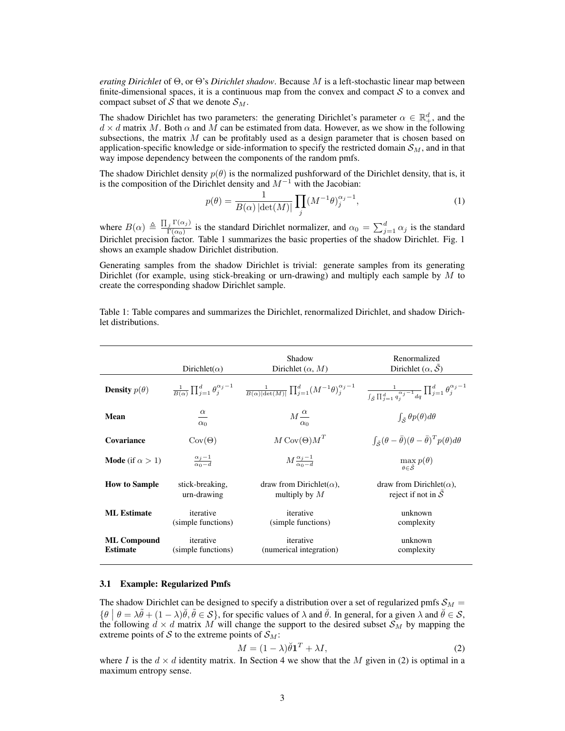*erating Dirichlet* of Θ, or Θ's *Dirichlet shadow*. Because M is a left-stochastic linear map between finite-dimensional spaces, it is a continuous map from the convex and compact  $S$  to a convex and compact subset of S that we denote  $S_M$ .

The shadow Dirichlet has two parameters: the generating Dirichlet's parameter  $\alpha \in \mathbb{R}^d_+$ , and the  $d \times d$  matrix M. Both  $\alpha$  and M can be estimated from data. However, as we show in the following subsections, the matrix  $M$  can be profitably used as a design parameter that is chosen based on application-specific knowledge or side-information to specify the restricted domain  $\mathcal{S}_M$ , and in that way impose dependency between the components of the random pmfs.

The shadow Dirichlet density  $p(\theta)$  is the normalized pushforward of the Dirichlet density, that is, it is the composition of the Dirichlet density and  $M^{-1}$  with the Jacobian:

$$
p(\theta) = \frac{1}{B(\alpha) |\det(M)|} \prod_{j} (M^{-1}\theta)^{\alpha_j - 1}_{j},
$$
\n(1)

where  $B(\alpha) \triangleq \frac{\prod_j \Gamma(\alpha_j)}{\Gamma(\alpha_0)}$  $\frac{j \Gamma(\alpha_j)}{\Gamma(\alpha_0)}$  is the standard Dirichlet normalizer, and  $\alpha_0 = \sum_{j=1}^d \alpha_j$  is the standard Dirichlet precision factor. Table 1 summarizes the basic properties of the shadow Dirichlet. Fig. 1 shows an example shadow Dirichlet distribution.

Generating samples from the shadow Dirichlet is trivial: generate samples from its generating Dirichlet (for example, using stick-breaking or urn-drawing) and multiply each sample by  $M$  to create the corresponding shadow Dirichlet sample.

Table 1: Table compares and summarizes the Dirichlet, renormalized Dirichlet, and shadow Dirichlet distributions.

|                                       | Dirichlet( $\alpha$ )                 | Shadow<br>Dirichlet $(\alpha, M)$                                                                                                                                                                                                               | Renormalized<br>Dirichlet $(\alpha, \mathcal{S})$                                                |
|---------------------------------------|---------------------------------------|-------------------------------------------------------------------------------------------------------------------------------------------------------------------------------------------------------------------------------------------------|--------------------------------------------------------------------------------------------------|
| <b>Density</b> $p(\theta)$            |                                       | $\frac{1}{B(\alpha)}\prod_{j=1}^d\theta_j^{\alpha_j-1} \quad \frac{1}{B(\alpha) \mathrm{det}(M) }\prod_{j=1}^d(M^{-1}\theta)_j^{\alpha_j-1} \quad \frac{1}{\int_{\tilde{S}}\prod_{j=1}^d q_j^{\alpha_j-1}dq}\prod_{j=1}^d\theta_j^{\alpha_j-1}$ |                                                                                                  |
| Mean                                  | $\frac{\alpha}{\alpha}$<br>$\alpha_0$ | $M\frac{\alpha}{\alpha}$<br>$\alpha_0$                                                                                                                                                                                                          | $\int_{\tilde{\mathcal{S}}} \theta p(\theta) d\theta$                                            |
| Covariance                            | $\text{Cov}(\Theta)$                  | $M \text{Cov}(\Theta) M^T$                                                                                                                                                                                                                      | $\int_{\tilde{\mathcal{S}}} (\theta - \bar{\theta}) (\theta - \bar{\theta})^T p(\theta) d\theta$ |
| <b>Mode</b> (if $\alpha > 1$ )        | $\frac{\alpha_j-1}{\alpha_0-d}$       | $M\frac{\alpha_j-1}{\alpha_0-d}$                                                                                                                                                                                                                | $\max_{\theta \in \tilde{\mathcal{S}}} p(\theta)$                                                |
| <b>How to Sample</b>                  | stick-breaking,<br>urn-drawing        | draw from Dirichlet( $\alpha$ ),<br>multiply by $M$                                                                                                                                                                                             | draw from Dirichlet( $\alpha$ ),<br>reject if not in $\tilde{S}$                                 |
| <b>ML</b> Estimate                    | iterative<br>(simple functions)       | iterative<br>(simple functions)                                                                                                                                                                                                                 | unknown<br>complexity                                                                            |
| <b>ML Compound</b><br><b>Estimate</b> | iterative<br>(simple functions)       | iterative<br>(numerical integration)                                                                                                                                                                                                            | unknown<br>complexity                                                                            |

## 3.1 Example: Regularized Pmfs

The shadow Dirichlet can be designed to specify a distribution over a set of regularized pmfs  $S_M$  =  $\{\theta \mid \theta = \lambda \tilde{\theta} + (1 - \lambda) \tilde{\theta}, \tilde{\theta} \in S\}$ , for specific values of  $\lambda$  and  $\tilde{\theta}$ . In general, for a given  $\lambda$  and  $\tilde{\theta} \in S$ , the following  $d \times d$  matrix M will change the support to the desired subset  $S_M$  by mapping the extreme points of S to the extreme points of  $S_M$ :

$$
M = (1 - \lambda)\breve{\theta}\mathbf{1}^T + \lambda I,\tag{2}
$$

where I is the  $d \times d$  identity matrix. In Section 4 we show that the M given in (2) is optimal in a maximum entropy sense.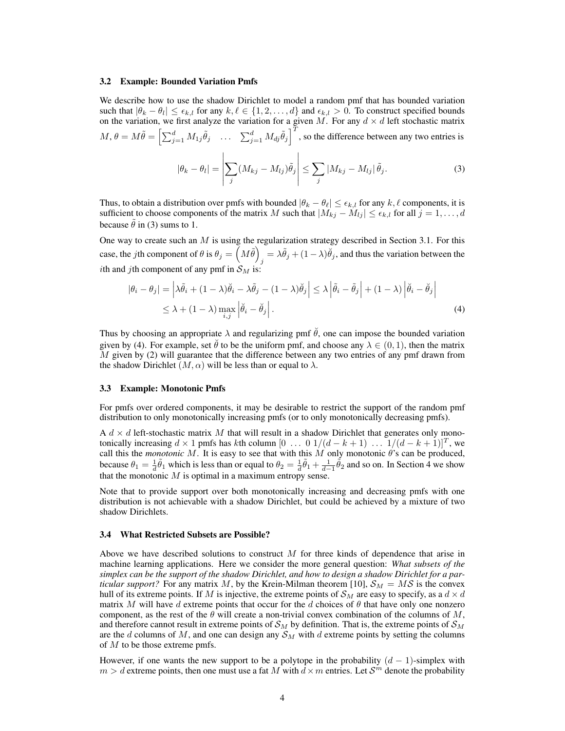#### 3.2 Example: Bounded Variation Pmfs

We describe how to use the shadow Dirichlet to model a random pmf that has bounded variation such that  $|\theta_k - \theta_l| \le \epsilon_{k,l}$  for any  $k, \ell \in \{1, 2, ..., d\}$  and  $\epsilon_{k,l} > 0$ . To construct specified bounds on the variation, we first analyze the variation for a given M. For any  $d \times d$  left stochastic matrix

$$
M, \theta = M\tilde{\theta} = \left[\sum_{j=1}^{d} M_{1j} \tilde{\theta}_{j} \quad \dots \quad \sum_{j=1}^{d} M_{dj} \tilde{\theta}_{j}\right]^{T}, \text{ so the difference between any two entries is}
$$

$$
|\theta_{k} - \theta_{l}| = \left|\sum_{j} (M_{kj} - M_{lj}) \tilde{\theta}_{j}\right| \le \sum_{j} |M_{kj} - M_{lj}| \tilde{\theta}_{j}.
$$
 (3)

Thus, to obtain a distribution over pmfs with bounded  $|\theta_k - \theta_\ell| \leq \epsilon_{k,l}$  for any  $k, \ell$  components, it is sufficient to choose components of the matrix M such that  $|M_{kj} - M_{lj}| \le \epsilon_{k,l}$  for all  $j = 1, \ldots, d$ because  $\hat{\theta}$  in (3) sums to 1.

One way to create such an  $M$  is using the regularization strategy described in Section 3.1. For this case, the *j*th component of  $\theta$  is  $\theta_j = \left(M\tilde{\theta}\right)^2$  $\delta_j = \lambda \tilde{\theta}_j + (1 - \lambda) \tilde{\theta}_j$ , and thus the variation between the ith and jth component of any pmf in  $S_M$  is:

$$
|\theta_{i} - \theta_{j}| = \left| \lambda \tilde{\theta}_{i} + (1 - \lambda)\tilde{\theta}_{i} - \lambda \tilde{\theta}_{j} - (1 - \lambda)\tilde{\theta}_{j} \right| \leq \lambda \left| \tilde{\theta}_{i} - \tilde{\theta}_{j} \right| + (1 - \lambda) \left| \tilde{\theta}_{i} - \tilde{\theta}_{j} \right|
$$
  
 
$$
\leq \lambda + (1 - \lambda) \max_{i,j} \left| \tilde{\theta}_{i} - \tilde{\theta}_{j} \right|.
$$
 (4)

Thus by choosing an appropriate  $\lambda$  and regularizing pmf  $\hat{\theta}$ , one can impose the bounded variation given by (4). For example, set  $\check{\theta}$  to be the uniform pmf, and choose any  $\lambda \in (0,1)$ , then the matrix  $M$  given by (2) will guarantee that the difference between any two entries of any pmf drawn from the shadow Dirichlet  $(M, \alpha)$  will be less than or equal to  $\lambda$ .

#### 3.3 Example: Monotonic Pmfs

For pmfs over ordered components, it may be desirable to restrict the support of the random pmf distribution to only monotonically increasing pmfs (or to only monotonically decreasing pmfs).

A  $d \times d$  left-stochastic matrix M that will result in a shadow Dirichlet that generates only monotonically increasing  $d \times 1$  pmfs has kth column  $[0 \dots 0 1/(d-k+1) \dots 1/(d-k+1)]^T$ , we call this the *monotonic* M. It is easy to see that with this M only monotonic  $\theta$ 's can be produced, because  $\theta_1 = \frac{1}{d}\tilde{\theta}_1$  which is less than or equal to  $\theta_2 = \frac{1}{d}\tilde{\theta}_1 + \frac{1}{d-1}\tilde{\theta}_2$  and so on. In Section 4 we show that the monotonic  $M$  is optimal in a maximum entropy sense.

Note that to provide support over both monotonically increasing and decreasing pmfs with one distribution is not achievable with a shadow Dirichlet, but could be achieved by a mixture of two shadow Dirichlets.

## 3.4 What Restricted Subsets are Possible?

Above we have described solutions to construct  $M$  for three kinds of dependence that arise in machine learning applications. Here we consider the more general question: *What subsets of the simplex can be the support of the shadow Dirichlet, and how to design a shadow Dirichlet for a particular support?* For any matrix M, by the Krein-Milman theorem [10],  $S_M = MS$  is the convex hull of its extreme points. If M is injective, the extreme points of  $\mathcal{S}_M$  are easy to specify, as a  $d \times d$ matrix M will have d extreme points that occur for the d choices of  $\theta$  that have only one nonzero component, as the rest of the  $\theta$  will create a non-trivial convex combination of the columns of M, and therefore cannot result in extreme points of  $\mathcal{S}_M$  by definition. That is, the extreme points of  $\mathcal{S}_M$ are the  $d$  columns of  $M$ , and one can design any  $S_M$  with  $d$  extreme points by setting the columns of  $M$  to be those extreme pmfs.

However, if one wants the new support to be a polytope in the probability  $(d-1)$ -simplex with  $m > d$  extreme points, then one must use a fat M with  $d \times m$  entries. Let  $\mathcal{S}^m$  denote the probability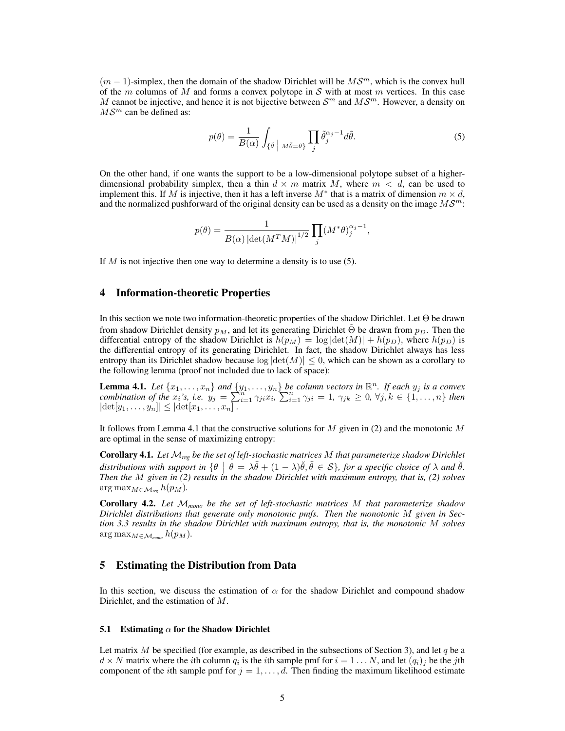$(m-1)$ -simplex, then the domain of the shadow Dirichlet will be  $MS^m$ , which is the convex hull of the m columns of M and forms a convex polytope in S with at most m vertices. In this case M cannot be injective, and hence it is not bijective between  $S<sup>m</sup>$  and  $MS<sup>m</sup>$ . However, a density on  $MS^m$  can be defined as:

$$
p(\theta) = \frac{1}{B(\alpha)} \int_{\{\tilde{\theta} \mid M\tilde{\theta} = \theta\}} \prod_{j} \tilde{\theta}_j^{\alpha_j - 1} d\tilde{\theta}.
$$
 (5)

On the other hand, if one wants the support to be a low-dimensional polytope subset of a higherdimensional probability simplex, then a thin  $d \times m$  matrix M, where  $m < d$ , can be used to implement this. If M is injective, then it has a left inverse  $M^*$  that is a matrix of dimension  $m \times d$ , and the normalized pushforward of the original density can be used as a density on the image  $M\mathcal{S}^m$ :

$$
p(\theta) = \frac{1}{B(\alpha) \left| \det(M^T M) \right|^{1/2}} \prod_j (M^* \theta)_j^{\alpha_j - 1},
$$

If  $M$  is not injective then one way to determine a density is to use  $(5)$ .

## 4 Information-theoretic Properties

In this section we note two information-theoretic properties of the shadow Dirichlet. Let Θ be drawn from shadow Dirichlet density  $p_M$ , and let its generating Dirichlet  $\tilde{\Theta}$  be drawn from  $p_D$ . Then the differential entropy of the shadow Dirichlet is  $h(p_M) = \log |\det(M)| + h(p_D)$ , where  $h(p_D)$  is the differential entropy of its generating Dirichlet. In fact, the shadow Dirichlet always has less entropy than its Dirichlet shadow because  $\log |\det(M)| \leq 0$ , which can be shown as a corollary to the following lemma (proof not included due to lack of space):

**Lemma 4.1.** Let  $\{x_1, \ldots, x_n\}$  and  $\{y_1, \ldots, y_n\}$  be column vectors in  $\mathbb{R}^n$ . If each  $y_j$  is a convex *combination of the*  $x_i$ 's, i.e.  $y_j = \sum_{i=1}^{n} \gamma_{ji} x_i$ ,  $\sum_{i=1}^{n} \gamma_{ji} = 1$ ,  $\gamma_{jk} \geq 0$ ,  $\forall j, k \in \{1, ..., n\}$  then  $|\det[y_1, \ldots, y_n]| \leq |\det[x_1, \ldots, x_n]|$ .

It follows from Lemma 4.1 that the constructive solutions for M given in (2) and the monotonic M are optimal in the sense of maximizing entropy:

Corollary 4.1. *Let* M*reg be the set of left-stochastic matrices* M *that parameterize shadow Dirichlet* distributions with support in  $\{\theta \mid \theta = \lambda \tilde{\theta} + (1 - \lambda)\tilde{\theta}, \tilde{\theta} \in \mathcal{S}\}$ , for a specific choice of  $\lambda$  and  $\tilde{\theta}$ . *Then the* M *given in (2) results in the shadow Dirichlet with maximum entropy, that is, (2) solves*  $\arg \max_{M \in \mathcal{M}_{reg}} h(p_M)$ .

Corollary 4.2. *Let* M*mono be the set of left-stochastic matrices* M *that parameterize shadow Dirichlet distributions that generate only monotonic pmfs. Then the monotonic* M *given in Section 3.3 results in the shadow Dirichlet with maximum entropy, that is, the monotonic* M *solves*  $\arg \max_{M \in \mathcal{M}_{mono}} h(p_M)$ .

## 5 Estimating the Distribution from Data

In this section, we discuss the estimation of  $\alpha$  for the shadow Dirichlet and compound shadow Dirichlet, and the estimation of M.

### 5.1 Estimating  $\alpha$  for the Shadow Dirichlet

Let matrix M be specified (for example, as described in the subsections of Section 3), and let q be a  $d \times N$  matrix where the *i*th column  $q_i$  is the *i*th sample pmf for  $i = 1 \dots N$ , and let  $(q_i)_j$  be the *j*th component of the *i*th sample pmf for  $j = 1, \ldots, d$ . Then finding the maximum likelihood estimate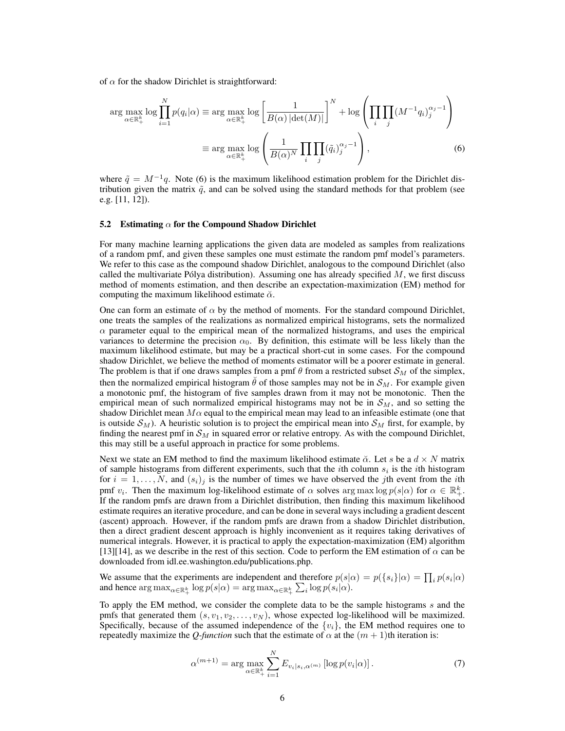of  $\alpha$  for the shadow Dirichlet is straightforward:

$$
\arg \max_{\alpha \in \mathbb{R}_+^k} \log \prod_{i=1}^N p(q_i|\alpha) \equiv \arg \max_{\alpha \in \mathbb{R}_+^k} \log \left[ \frac{1}{B(\alpha) |\det(M)|} \right]^N + \log \left( \prod_i \prod_j (M^{-1} q_i)_j^{\alpha_j - 1} \right)
$$

$$
\equiv \arg \max_{\alpha \in \mathbb{R}_+^k} \log \left( \frac{1}{B(\alpha)^N} \prod_i \prod_j (\tilde{q}_i)_j^{\alpha_j - 1} \right), \tag{6}
$$

where  $\tilde{q} = M^{-1}q$ . Note (6) is the maximum likelihood estimation problem for the Dirichlet distribution given the matrix  $\tilde{q}$ , and can be solved using the standard methods for that problem (see e.g. [11, 12]).

#### 5.2 Estimating  $\alpha$  for the Compound Shadow Dirichlet

For many machine learning applications the given data are modeled as samples from realizations of a random pmf, and given these samples one must estimate the random pmf model's parameters. We refer to this case as the compound shadow Dirichlet, analogous to the compound Dirichlet (also called the multivariate Pólya distribution). Assuming one has already specified  $M$ , we first discuss method of moments estimation, and then describe an expectation-maximization (EM) method for computing the maximum likelihood estimate  $\check{\alpha}$ .

One can form an estimate of  $\alpha$  by the method of moments. For the standard compound Dirichlet, one treats the samples of the realizations as normalized empirical histograms, sets the normalized  $\alpha$  parameter equal to the empirical mean of the normalized histograms, and uses the empirical variances to determine the precision  $\alpha_0$ . By definition, this estimate will be less likely than the maximum likelihood estimate, but may be a practical short-cut in some cases. For the compound shadow Dirichlet, we believe the method of moments estimator will be a poorer estimate in general. The problem is that if one draws samples from a pmf  $\theta$  from a restricted subset  $\mathcal{S}_M$  of the simplex, then the normalized empirical histogram  $\hat{\theta}$  of those samples may not be in  $\mathcal{S}_M$ . For example given a monotonic pmf, the histogram of five samples drawn from it may not be monotonic. Then the empirical mean of such normalized empirical histograms may not be in  $S_M$ , and so setting the shadow Dirichlet mean  $M\alpha$  equal to the empirical mean may lead to an infeasible estimate (one that is outside  $S_M$ ). A heuristic solution is to project the empirical mean into  $S_M$  first, for example, by finding the nearest pmf in  $\mathcal{S}_M$  in squared error or relative entropy. As with the compound Dirichlet, this may still be a useful approach in practice for some problems.

Next we state an EM method to find the maximum likelihood estimate  $\alpha$ . Let s be a  $d \times N$  matrix of sample histograms from different experiments, such that the *i*th column  $s_i$  is the *i*th histogram for  $i = 1, \ldots, N$ , and  $(s_i)_j$  is the number of times we have observed the jth event from the *i*th pmf  $v_i$ . Then the maximum log-likelihood estimate of  $\alpha$  solves arg max log  $p(s|\alpha)$  for  $\alpha \in \mathbb{R}^k_+$ . If the random pmfs are drawn from a Dirichlet distribution, then finding this maximum likelihood estimate requires an iterative procedure, and can be done in several ways including a gradient descent (ascent) approach. However, if the random pmfs are drawn from a shadow Dirichlet distribution, then a direct gradient descent approach is highly inconvenient as it requires taking derivatives of numerical integrals. However, it is practical to apply the expectation-maximization (EM) algorithm [13][14], as we describe in the rest of this section. Code to perform the EM estimation of  $\alpha$  can be downloaded from idl.ee.washington.edu/publications.php.

We assume that the experiments are independent and therefore  $p(s|\alpha) = p(\lbrace s_i \rbrace | \alpha) = \prod_i p(s_i | \alpha)$ and hence  $\argmax_{\alpha \in \mathbb{R}_+^k} \log p(s|\alpha) = \argmax_{\alpha \in \mathbb{R}_+^k} \sum_i \log p(s_i|\alpha)$ .

To apply the EM method, we consider the complete data to be the sample histograms  $s$  and the pmfs that generated them  $(s, v_1, v_2, \ldots, v_N)$ , whose expected log-likelihood will be maximized. Specifically, because of the assumed independence of the  $\{v_i\}$ , the EM method requires one to repeatedly maximize the *Q-function* such that the estimate of  $\alpha$  at the  $(m + 1)$ th iteration is:

$$
\alpha^{(m+1)} = \arg \max_{\alpha \in \mathbb{R}_+^k} \sum_{i=1}^N E_{v_i | s_i, \alpha^{(m)}} \left[ \log p(v_i | \alpha) \right]. \tag{7}
$$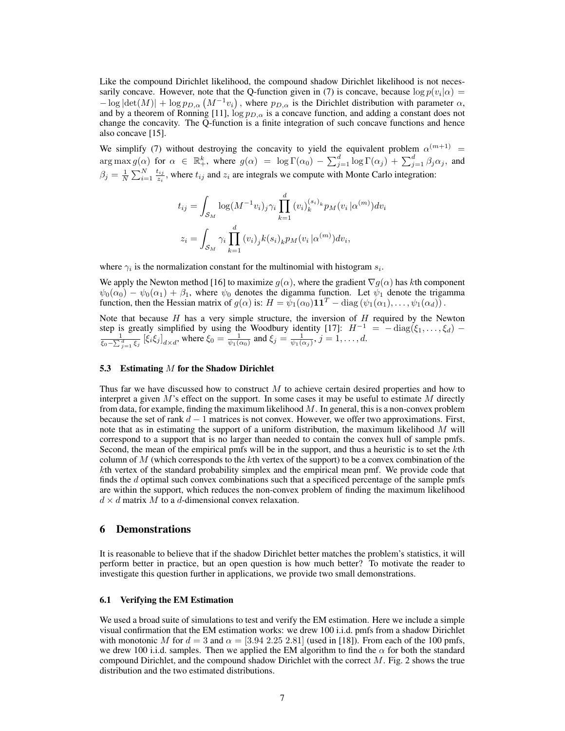Like the compound Dirichlet likelihood, the compound shadow Dirichlet likelihood is not necessarily concave. However, note that the Q-function given in (7) is concave, because  $\log p(v_i|\alpha) =$  $-\log |\det(M)| + \log p_{D,\alpha} (M^{-1}v_i)$ , where  $p_{D,\alpha}$  is the Dirichlet distribution with parameter  $\alpha$ , and by a theorem of Ronning [11],  $\log p_{D,\alpha}$  is a concave function, and adding a constant does not change the concavity. The Q-function is a finite integration of such concave functions and hence also concave [15].

We simplify (7) without destroying the concavity to yield the equivalent problem  $\alpha^{(m+1)}$  =  $\arg \max g(\alpha)$  for  $\alpha \in \mathbb{R}^k_+$ , where  $g(\alpha) = \log \Gamma(\alpha_0) - \sum_{j=1}^d \log \Gamma(\alpha_j) + \sum_{j=1}^d \beta_j \alpha_j$ , and  $\beta_j = \frac{1}{N}\sum_{i=1}^N \frac{t_{ij}}{z_i}$  $\frac{u_{ij}}{z_i}$ , where  $t_{ij}$  and  $z_i$  are integrals we compute with Monte Carlo integration:

$$
t_{ij} = \int_{\mathcal{S}_M} \log(M^{-1} v_i)_j \gamma_i \prod_{k=1}^d (v_i)_k^{(s_i)_k} p_M(v_i | \alpha^{(m)}) dv_i
$$

$$
z_i = \int_{\mathcal{S}_M} \gamma_i \prod_{k=1}^d (v_i)_j k(s_i)_k p_M(v_i | \alpha^{(m)}) dv_i,
$$

where  $\gamma_i$  is the normalization constant for the multinomial with histogram  $s_i$ .

We apply the Newton method [16] to maximize  $g(\alpha)$ , where the gradient  $\nabla g(\alpha)$  has kth component  $\psi_0(\alpha_0) - \psi_0(\alpha_1) + \beta_1$ , where  $\psi_0$  denotes the digamma function. Let  $\psi_1$  denote the trigamma function, then the Hessian matrix of  $g(\alpha)$  is:  $H = \psi_1(\alpha_0) \mathbf{1} \mathbf{1}^T - \text{diag}(\psi_1(\alpha_1), \dots, \psi_1(\alpha_d))$ .

Note that because  $H$  has a very simple structure, the inversion of  $H$  required by the Newton step is greatly simplified by using the Woodbury identity [17]:  $H^{-1} = -\text{diag}(\xi_1, \dots, \xi_d) - \frac{1}{\sqrt{1-\xi}} [\xi, \xi]$  $\frac{1}{\xi_0 - \sum_{j=1}^d \xi_j}$   $[\xi_i \xi_j]_{d \times d}$ , where  $\xi_0 = \frac{1}{\psi_1(\alpha_0)}$  and  $\xi_j = \frac{1}{\psi_1(\alpha_j)}$ ,  $j = 1, \dots, d$ .

#### 5.3 Estimating M for the Shadow Dirichlet

Thus far we have discussed how to construct  $M$  to achieve certain desired properties and how to interpret a given  $M$ 's effect on the support. In some cases it may be useful to estimate  $M$  directly from data, for example, finding the maximum likelihood  $M$ . In general, this is a non-convex problem because the set of rank  $d - 1$  matrices is not convex. However, we offer two approximations. First, note that as in estimating the support of a uniform distribution, the maximum likelihood  $M$  will correspond to a support that is no larger than needed to contain the convex hull of sample pmfs. Second, the mean of the empirical pmfs will be in the support, and thus a heuristic is to set the kth column of M (which corresponds to the kth vertex of the support) to be a convex combination of the kth vertex of the standard probability simplex and the empirical mean pmf. We provide code that finds the d optimal such convex combinations such that a specificed percentage of the sample pmfs are within the support, which reduces the non-convex problem of finding the maximum likelihood  $d \times d$  matrix M to a d-dimensional convex relaxation.

## 6 Demonstrations

It is reasonable to believe that if the shadow Dirichlet better matches the problem's statistics, it will perform better in practice, but an open question is how much better? To motivate the reader to investigate this question further in applications, we provide two small demonstrations.

#### 6.1 Verifying the EM Estimation

We used a broad suite of simulations to test and verify the EM estimation. Here we include a simple visual confirmation that the EM estimation works: we drew 100 i.i.d. pmfs from a shadow Dirichlet with monotonic M for  $d = 3$  and  $\alpha = [3.94 \, 2.25 \, 2.81]$  (used in [18]). From each of the 100 pmfs, we drew 100 i.i.d. samples. Then we applied the EM algorithm to find the  $\alpha$  for both the standard compound Dirichlet, and the compound shadow Dirichlet with the correct  $M$ . Fig. 2 shows the true distribution and the two estimated distributions.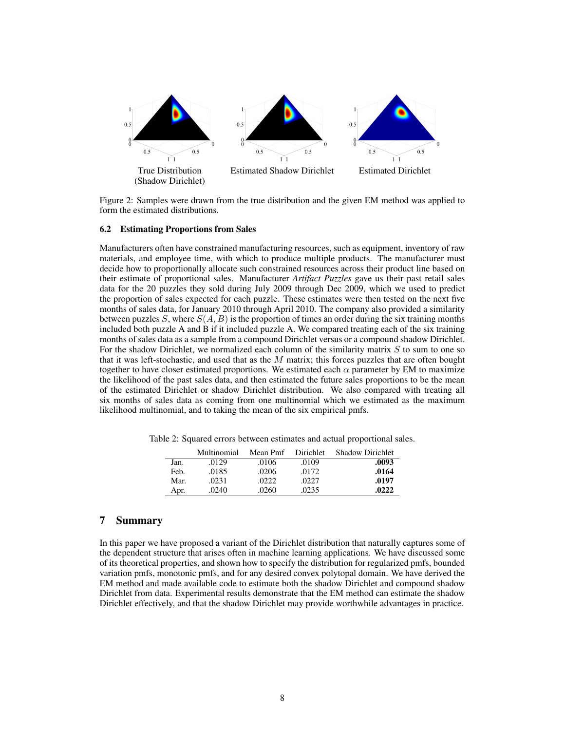

Figure 2: Samples were drawn from the true distribution and the given EM method was applied to form the estimated distributions.

#### 6.2 Estimating Proportions from Sales

Manufacturers often have constrained manufacturing resources, such as equipment, inventory of raw materials, and employee time, with which to produce multiple products. The manufacturer must decide how to proportionally allocate such constrained resources across their product line based on their estimate of proportional sales. Manufacturer *Artifact Puzzles* gave us their past retail sales data for the 20 puzzles they sold during July 2009 through Dec 2009, which we used to predict the proportion of sales expected for each puzzle. These estimates were then tested on the next five months of sales data, for January 2010 through April 2010. The company also provided a similarity between puzzles  $S$ , where  $S(A, B)$  is the proportion of times an order during the six training months included both puzzle A and B if it included puzzle A. We compared treating each of the six training months of sales data as a sample from a compound Dirichlet versus or a compound shadow Dirichlet. For the shadow Dirichlet, we normalized each column of the similarity matrix  $S$  to sum to one so that it was left-stochastic, and used that as the  $M$  matrix; this forces puzzles that are often bought together to have closer estimated proportions. We estimated each  $\alpha$  parameter by EM to maximize the likelihood of the past sales data, and then estimated the future sales proportions to be the mean of the estimated Dirichlet or shadow Dirichlet distribution. We also compared with treating all six months of sales data as coming from one multinomial which we estimated as the maximum likelihood multinomial, and to taking the mean of the six empirical pmfs.

Table 2: Squared errors between estimates and actual proportional sales.

|      | Multinomial | Mean Pmf | <b>Dirichlet</b> | <b>Shadow Dirichlet</b> |
|------|-------------|----------|------------------|-------------------------|
| Jan. | .0129       | .0106    | .0109            | .0093                   |
| Feb. | .0185       | .0206    | .0172            | .0164                   |
| Mar. | .0231       | .0222    | .0227            | .0197                   |
| Apr. | .0240       | .0260    | .0235            | .0222                   |

## 7 Summary

In this paper we have proposed a variant of the Dirichlet distribution that naturally captures some of the dependent structure that arises often in machine learning applications. We have discussed some of its theoretical properties, and shown how to specify the distribution for regularized pmfs, bounded variation pmfs, monotonic pmfs, and for any desired convex polytopal domain. We have derived the EM method and made available code to estimate both the shadow Dirichlet and compound shadow Dirichlet from data. Experimental results demonstrate that the EM method can estimate the shadow Dirichlet effectively, and that the shadow Dirichlet may provide worthwhile advantages in practice.